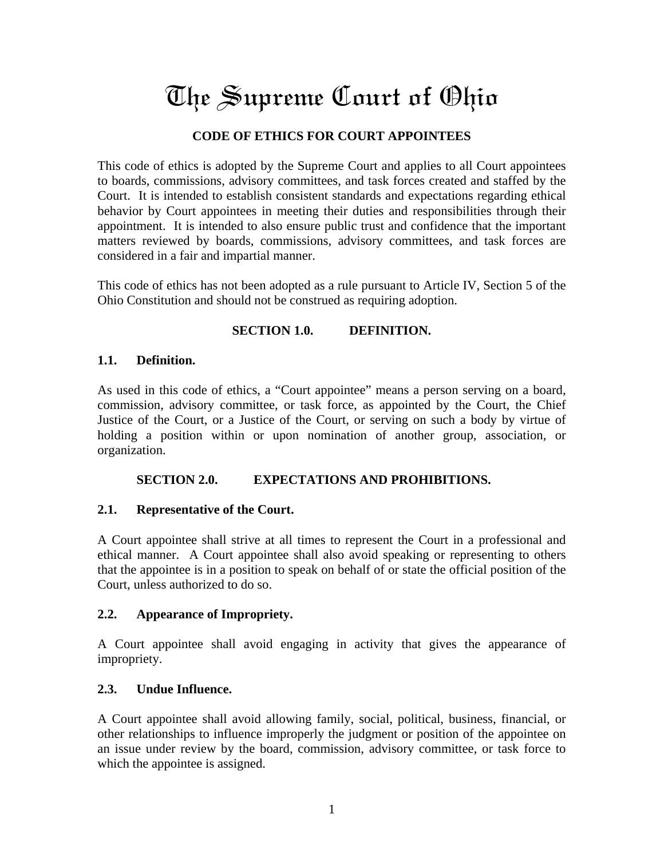# The Supreme Court of Ohio

# **CODE OF ETHICS FOR COURT APPOINTEES**

This code of ethics is adopted by the Supreme Court and applies to all Court appointees to boards, commissions, advisory committees, and task forces created and staffed by the Court. It is intended to establish consistent standards and expectations regarding ethical behavior by Court appointees in meeting their duties and responsibilities through their appointment. It is intended to also ensure public trust and confidence that the important matters reviewed by boards, commissions, advisory committees, and task forces are considered in a fair and impartial manner.

This code of ethics has not been adopted as a rule pursuant to Article IV, Section 5 of the Ohio Constitution and should not be construed as requiring adoption.

#### **SECTION 1.0. DEFINITION.**

#### **1.1. Definition.**

As used in this code of ethics, a "Court appointee" means a person serving on a board, commission, advisory committee, or task force, as appointed by the Court, the Chief Justice of the Court, or a Justice of the Court, or serving on such a body by virtue of holding a position within or upon nomination of another group, association, or organization.

## **SECTION 2.0. EXPECTATIONS AND PROHIBITIONS.**

## **2.1. Representative of the Court.**

A Court appointee shall strive at all times to represent the Court in a professional and ethical manner. A Court appointee shall also avoid speaking or representing to others that the appointee is in a position to speak on behalf of or state the official position of the Court, unless authorized to do so.

#### **2.2. Appearance of Impropriety.**

A Court appointee shall avoid engaging in activity that gives the appearance of impropriety.

#### **2.3. Undue Influence.**

A Court appointee shall avoid allowing family, social, political, business, financial, or other relationships to influence improperly the judgment or position of the appointee on an issue under review by the board, commission, advisory committee, or task force to which the appointee is assigned.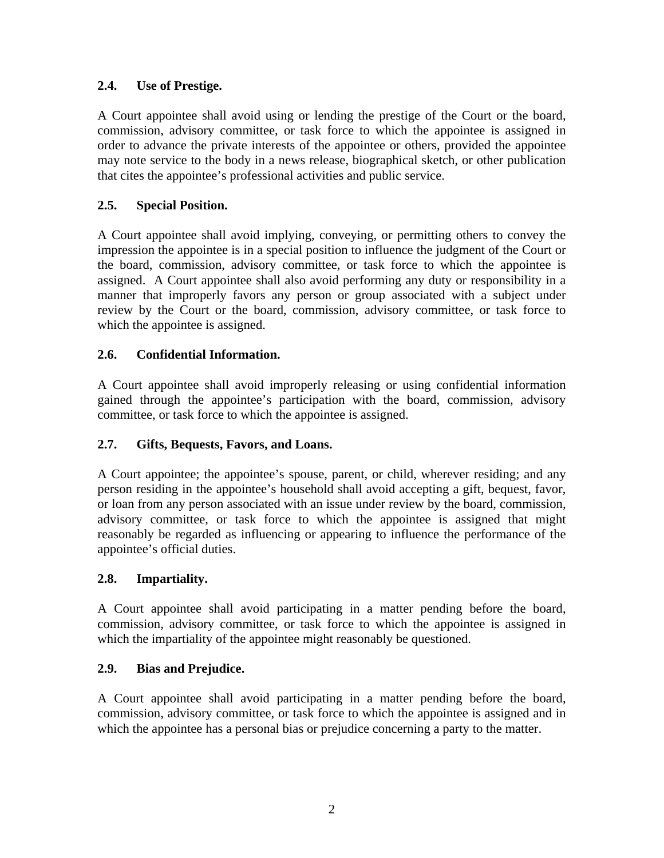# **2.4. Use of Prestige.**

A Court appointee shall avoid using or lending the prestige of the Court or the board, commission, advisory committee, or task force to which the appointee is assigned in order to advance the private interests of the appointee or others, provided the appointee may note service to the body in a news release, biographical sketch, or other publication that cites the appointee's professional activities and public service.

# **2.5. Special Position.**

A Court appointee shall avoid implying, conveying, or permitting others to convey the impression the appointee is in a special position to influence the judgment of the Court or the board, commission, advisory committee, or task force to which the appointee is assigned. A Court appointee shall also avoid performing any duty or responsibility in a manner that improperly favors any person or group associated with a subject under review by the Court or the board, commission, advisory committee, or task force to which the appointee is assigned.

# **2.6. Confidential Information.**

A Court appointee shall avoid improperly releasing or using confidential information gained through the appointee's participation with the board, commission, advisory committee, or task force to which the appointee is assigned.

## **2.7. Gifts, Bequests, Favors, and Loans.**

A Court appointee; the appointee's spouse, parent, or child, wherever residing; and any person residing in the appointee's household shall avoid accepting a gift, bequest, favor, or loan from any person associated with an issue under review by the board, commission, advisory committee, or task force to which the appointee is assigned that might reasonably be regarded as influencing or appearing to influence the performance of the appointee's official duties.

## **2.8. Impartiality.**

A Court appointee shall avoid participating in a matter pending before the board, commission, advisory committee, or task force to which the appointee is assigned in which the impartiality of the appointee might reasonably be questioned.

## **2.9. Bias and Prejudice.**

A Court appointee shall avoid participating in a matter pending before the board, commission, advisory committee, or task force to which the appointee is assigned and in which the appointee has a personal bias or prejudice concerning a party to the matter.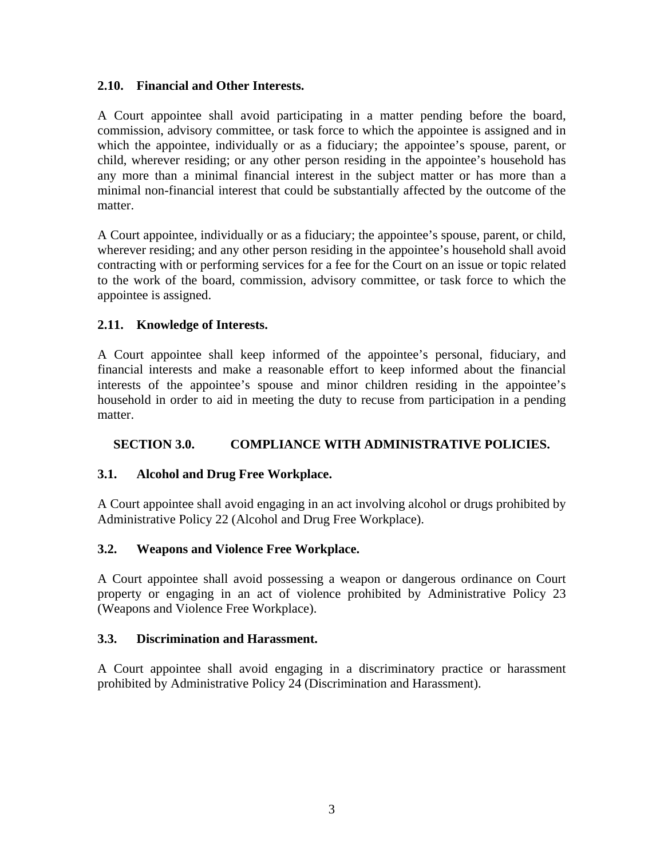#### **2.10. Financial and Other Interests.**

A Court appointee shall avoid participating in a matter pending before the board, commission, advisory committee, or task force to which the appointee is assigned and in which the appointee, individually or as a fiduciary; the appointee's spouse, parent, or child, wherever residing; or any other person residing in the appointee's household has any more than a minimal financial interest in the subject matter or has more than a minimal non-financial interest that could be substantially affected by the outcome of the matter.

A Court appointee, individually or as a fiduciary; the appointee's spouse, parent, or child, wherever residing; and any other person residing in the appointee's household shall avoid contracting with or performing services for a fee for the Court on an issue or topic related to the work of the board, commission, advisory committee, or task force to which the appointee is assigned.

## **2.11. Knowledge of Interests.**

A Court appointee shall keep informed of the appointee's personal, fiduciary, and financial interests and make a reasonable effort to keep informed about the financial interests of the appointee's spouse and minor children residing in the appointee's household in order to aid in meeting the duty to recuse from participation in a pending matter.

# **SECTION 3.0. COMPLIANCE WITH ADMINISTRATIVE POLICIES.**

## **3.1. Alcohol and Drug Free Workplace.**

A Court appointee shall avoid engaging in an act involving alcohol or drugs prohibited by Administrative Policy 22 (Alcohol and Drug Free Workplace).

## **3.2. Weapons and Violence Free Workplace.**

A Court appointee shall avoid possessing a weapon or dangerous ordinance on Court property or engaging in an act of violence prohibited by Administrative Policy 23 (Weapons and Violence Free Workplace).

## **3.3. Discrimination and Harassment.**

A Court appointee shall avoid engaging in a discriminatory practice or harassment prohibited by Administrative Policy 24 (Discrimination and Harassment).